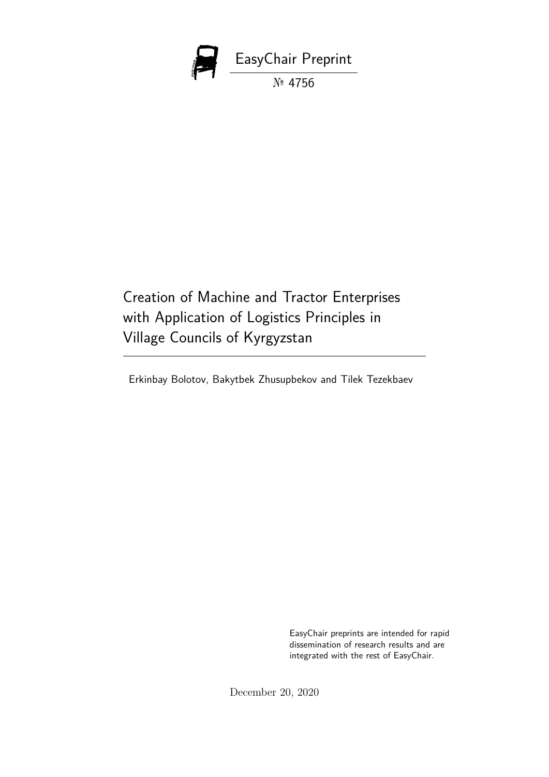

Creation of Machine and Tractor Enterprises with Application of Logistics Principles in Village Councils of Kyrgyzstan

Erkinbay Bolotov, Bakytbek Zhusupbekov and Tilek Tezekbaev

EasyChair preprints are intended for rapid dissemination of research results and are integrated with the rest of EasyChair.

December 20, 2020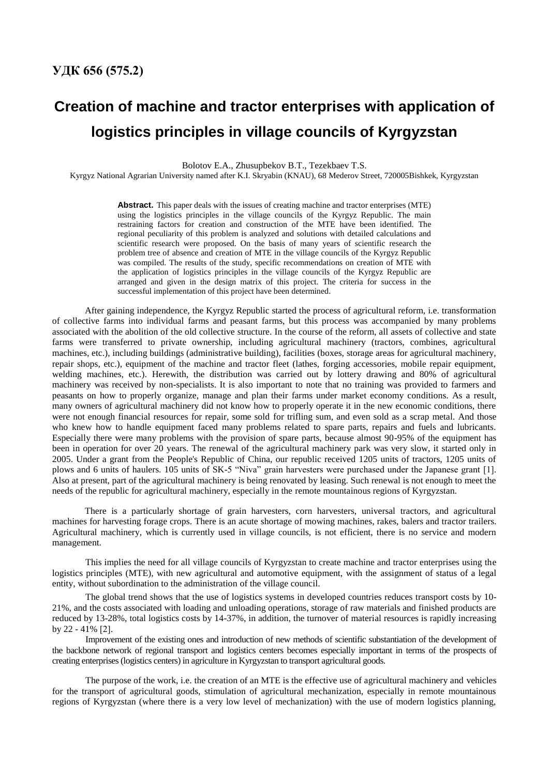## **Creation of machine and tractor enterprises with application of logistics principles in village councils of Kyrgyzstan**

Bolotov E.A., Zhusupbekov B.T., Tezekbaev T.S.

Kyrgyz National Agrarian University named after K.I. Skryabin (KNAU), 68 Mederov Street, 720005Bishkek, Kyrgyzstan

**Abstract.** This paper deals with the issues of creating machine and tractor enterprises (MTE) using the logistics principles in the village councils of the Kyrgyz Republic. The main restraining factors for creation and construction of the MTE have been identified. The regional peculiarity of this problem is analyzed and solutions with detailed calculations and scientific research were proposed. On the basis of many years of scientific research the problem tree of absence and creation of MTE in the village councils of the Kyrgyz Republic was compiled. The results of the study, specific recommendations on creation of MTE with the application of logistics principles in the village councils of the Kyrgyz Republic are arranged and given in the design matrix of this project. The criteria for success in the successful implementation of this project have been determined.

After gaining independence, the Kyrgyz Republic started the process of agricultural reform, i.e. transformation of collective farms into individual farms and peasant farms, but this process was accompanied by many problems associated with the abolition of the old collective structure. In the course of the reform, all assets of collective and state farms were transferred to private ownership, including agricultural machinery (tractors, combines, agricultural machines, etc.), including buildings (administrative building), facilities (boxes, storage areas for agricultural machinery, repair shops, etc.), equipment of the machine and tractor fleet (lathes, forging accessories, mobile repair equipment, welding machines, etc.). Herewith, the distribution was carried out by lottery drawing and 80% of agricultural machinery was received by non-specialists. It is also important to note that no training was provided to farmers and peasants on how to properly organize, manage and plan their farms under market economy conditions. As a result, many owners of agricultural machinery did not know how to properly operate it in the new economic conditions, there were not enough financial resources for repair, some sold for trifling sum, and even sold as a scrap metal. And those who knew how to handle equipment faced many problems related to spare parts, repairs and fuels and lubricants. Especially there were many problems with the provision of spare parts, because almost 90-95% of the equipment has been in operation for over 20 years. The renewal of the agricultural machinery park was very slow, it started only in 2005. Under a grant from the People's Republic of China, our republic received 1205 units of tractors, 1205 units of plows and 6 units of haulers. 105 units of SK-5 "Niva" grain harvesters were purchased under the Japanese grant [1]. Also at present, part of the agricultural machinery is being renovated by leasing. Such renewal is not enough to meet the needs of the republic for agricultural machinery, especially in the remote mountainous regions of Kyrgyzstan.

There is a particularly shortage of grain harvesters, corn harvesters, universal tractors, and agricultural machines for harvesting forage crops. There is an acute shortage of mowing machines, rakes, balers and tractor trailers. Agricultural machinery, which is currently used in village councils, is not efficient, there is no service and modern management.

This implies the need for all village councils of Kyrgyzstan to create machine and tractor enterprises using the logistics principles (MTE), with new agricultural and automotive equipment, with the assignment of status of a legal entity, without subordination to the administration of the village council.

The global trend shows that the use of logistics systems in developed countries reduces transport costs by 10- 21%, and the costs associated with loading and unloading operations, storage of raw materials and finished products are reduced by 13-28%, total logistics costs by 14-37%, in addition, the turnover of material resources is rapidly increasing by 22 - 41% [2].

Improvement of the existing ones and introduction of new methods of scientific substantiation of the development of the backbone network of regional transport and logistics centers becomes especially important in terms of the prospects of creating enterprises (logistics centers) in agriculture in Kyrgyzstan to transport agricultural goods.

The purpose of the work, i.e. the creation of an MTE is the effective use of agricultural machinery and vehicles for the transport of agricultural goods, stimulation of agricultural mechanization, especially in remote mountainous regions of Kyrgyzstan (where there is a very low level of mechanization) with the use of modern logistics planning,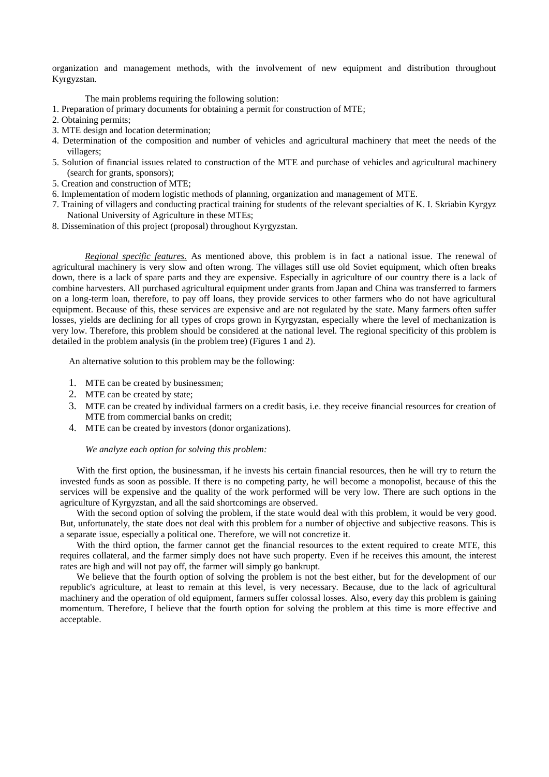organization and management methods, with the involvement of new equipment and distribution throughout Kyrgyzstan.

The main problems requiring the following solution:

- 1. Preparation of primary documents for obtaining a permit for construction of MTE;
- 2. Obtaining permits;
- 3. MTE design and location determination;
- 4. Determination of the composition and number of vehicles and agricultural machinery that meet the needs of the villagers;
- 5. Solution of financial issues related to construction of the MTE and purchase of vehicles and agricultural machinery (search for grants, sponsors);
- 5. Creation and construction of MTE;
- 6. Implementation of modern logistic methods of planning, organization and management of MTE.
- 7. Training of villagers and conducting practical training for students of the relevant specialties of K. I. Skriabin Kyrgyz National University of Agriculture in these MTEs;
- 8. Dissemination of this project (proposal) throughout Kyrgyzstan.

*Regional specific features.* As mentioned above, this problem is in fact a national issue. The renewal of agricultural machinery is very slow and often wrong. The villages still use old Soviet equipment, which often breaks down, there is a lack of spare parts and they are expensive. Especially in agriculture of our country there is a lack of combine harvesters. All purchased agricultural equipment under grants from Japan and China was transferred to farmers on a long-term loan, therefore, to pay off loans, they provide services to other farmers who do not have agricultural equipment. Because of this, these services are expensive and are not regulated by the state. Many farmers often suffer losses, yields are declining for all types of crops grown in Kyrgyzstan, especially where the level of mechanization is very low. Therefore, this problem should be considered at the national level. The regional specificity of this problem is detailed in the problem analysis (in the problem tree) (Figures 1 and 2).

An alternative solution to this problem may be the following:

- 1. MTE can be created by businessmen;
- 2. MTE can be created by state;
- 3. MTE can be created by individual farmers on a credit basis, i.e. they receive financial resources for creation of MTE from commercial banks on credit;
- 4. MTE can be created by investors (donor organizations).

## *We analyze each option for solving this problem:*

With the first option, the businessman, if he invests his certain financial resources, then he will try to return the invested funds as soon as possible. If there is no competing party, he will become a monopolist, because of this the services will be expensive and the quality of the work performed will be very low. There are such options in the agriculture of Kyrgyzstan, and all the said shortcomings are observed.

With the second option of solving the problem, if the state would deal with this problem, it would be very good. But, unfortunately, the state does not deal with this problem for a number of objective and subjective reasons. This is a separate issue, especially a political one. Therefore, we will not concretize it.

With the third option, the farmer cannot get the financial resources to the extent required to create MTE, this requires collateral, and the farmer simply does not have such property. Even if he receives this amount, the interest rates are high and will not pay off, the farmer will simply go bankrupt.

We believe that the fourth option of solving the problem is not the best either, but for the development of our republic's agriculture, at least to remain at this level, is very necessary. Because, due to the lack of agricultural machinery and the operation of old equipment, farmers suffer colossal losses. Also, every day this problem is gaining momentum. Therefore, I believe that the fourth option for solving the problem at this time is more effective and acceptable.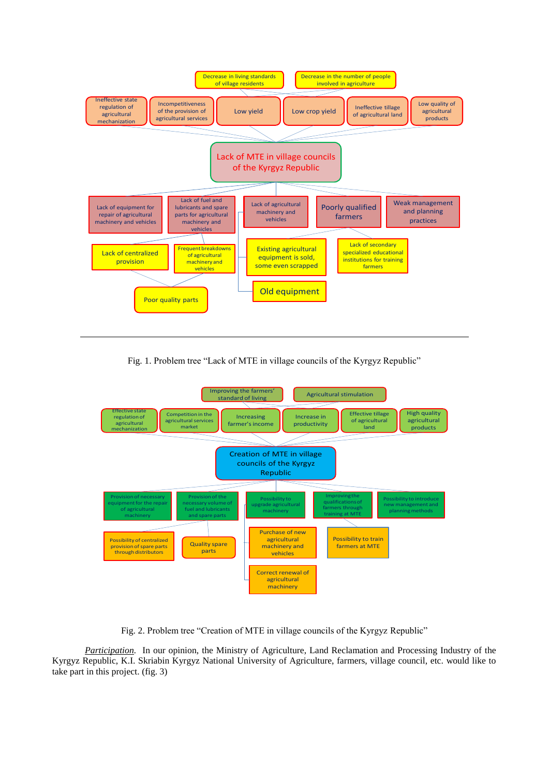

Fig. 1. Problem tree "Lack of MTE in village councils of the Kyrgyz Republic"



Fig. 2. Problem tree "Creation of MTE in village councils of the Kyrgyz Republic"

*Participation.* In our opinion, the Ministry of Agriculture, Land Reclamation and Processing Industry of the Kyrgyz Republic, K.I. Skriabin Kyrgyz National University of Agriculture, farmers, village council, etc. would like to take part in this project. (fig. 3)